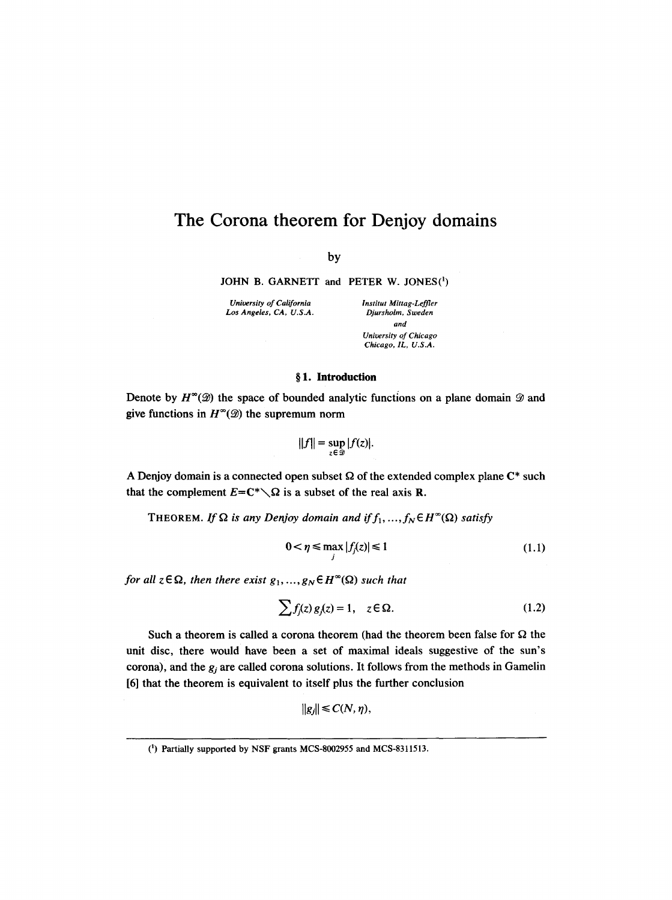# **The Corona theorem for Denjoy domains**

by

**JOHN B. GARNETT** and PETER **W. JONES(1)** 

*University of California Institut Mittag-Leffler*<br>
Los Angeles, CA, U.S.A. *Djursholm, Sweden* Los Angeles, CA, U.S.A.

*and University of Chicago Chicago, IL, U.S.A.* 

## **w 1. Introduction**

Denote by  $H^{\infty}(\mathcal{D})$  the space of bounded analytic functions on a plane domain  $\mathcal{D}$  and give functions in  $H^{\infty}(\mathcal{D})$  the supremum norm

$$
||f|| = \sup_{z \in \mathcal{D}} |f(z)|.
$$

A Denjoy domain is a connected open subset  $\Omega$  of the extended complex plane  $\mathbb{C}^*$  such that the complement  $E=C^*\diagdown \Omega$  is a subset of the real axis **R**.

THEOREM. If  $\Omega$  is any Denjoy domain and if  $f_1, ..., f_N \in H^\infty(\Omega)$  satisfy

$$
0 < \eta \le \max_{j} |f_j(z)| \le 1 \tag{1.1}
$$

*for all*  $z \in \Omega$ *, then there exist*  $g_1, ..., g_N \in H^{\infty}(\Omega)$  such that

$$
\sum f_j(z) g_j(z) = 1, \quad z \in \Omega.
$$
 (1.2)

Such a theorem is called a corona theorem (had the theorem been false for  $\Omega$  the unit disc, there would have been a set of maximal ideals suggestive of the sun's corona), and the  $g_i$  are called corona solutions. It follows from the methods in Gamelin [6] that the theorem is equivalent to itself plus the further conclusion

$$
||g_j|| \leq C(N, \eta),
$$

<sup>(1)</sup> Partially supported by NSF grants MCS-8002955 and MCS-8311513.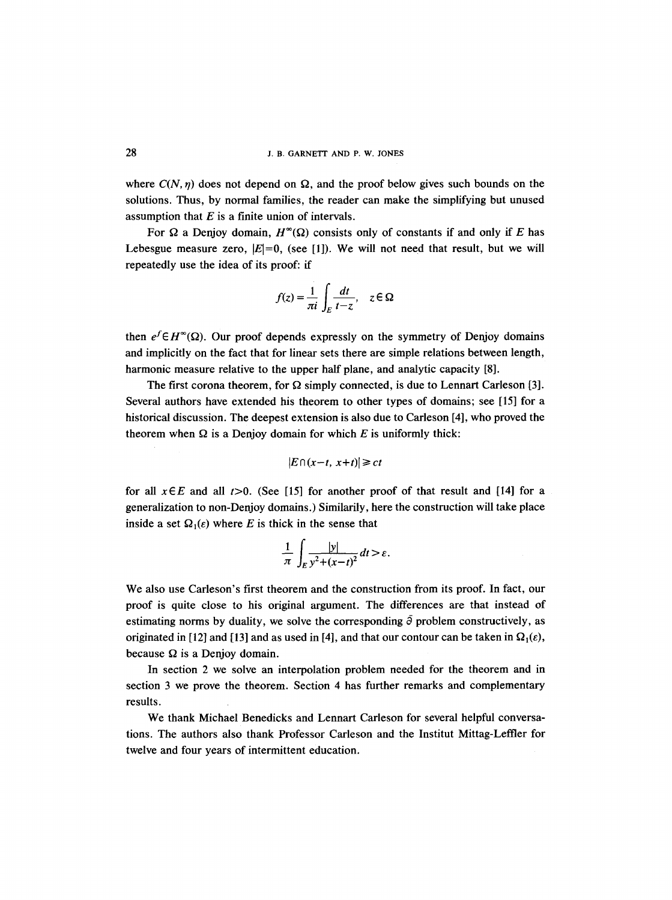where  $C(N, \eta)$  does not depend on  $\Omega$ , and the proof below gives such bounds on the solutions. Thus, by normal families, the reader can make the simplifying but unused assumption that  $E$  is a finite union of intervals.

For  $\Omega$  a Denjoy domain,  $H^{\infty}(\Omega)$  consists only of constants if and only if E has Lebesgue measure zero,  $|E|=0$ , (see [1]). We will not need that result, but we will repeatedly use the idea of its proof: if

$$
f(z) = \frac{1}{\pi i} \int_E \frac{dt}{t - z}, \quad z \in \Omega
$$

then  $e^f \in H^{\infty}(\Omega)$ . Our proof depends expressly on the symmetry of Denjoy domains and implicitly on the fact that for linear sets there are simple relations between length, harmonic measure relative to the upper half plane, and analytic capacity [8].

The first corona theorem, for  $\Omega$  simply connected, is due to Lennart Carleson [3]. Several authors have extended his theorem to other types of domains; see [15] for a historical discussion. The deepest extension is also due to Carleson [4], who proved the theorem when  $\Omega$  is a Denjoy domain for which E is uniformly thick:

$$
|E \cap (x-t, x+t)| \ge ct
$$

for all  $x \in E$  and all  $t > 0$ . (See [15] for another proof of that result and [14] for a generalization to non-Denjoy domains.) Similarily, here the construction will take place inside a set  $\Omega_1(\varepsilon)$  where E is thick in the sense that

$$
\frac{1}{\pi}\int_E \frac{|y|}{y^2+(x-t)^2}dt > \varepsilon.
$$

We also use Carleson's first theorem and the construction from its proof. In fact, our proof is quite close to his original argument. The differences are that instead of estimating norms by duality, we solve the corresponding  $\bar{\partial}$  problem constructively, as originated in [12] and [13] and as used in [4], and that our contour can be taken in  $\Omega_1(\varepsilon)$ , because  $\Omega$  is a Denjoy domain.

In section 2 we solve an interpolation problem needed for the theorem and in section 3 we prove the theorem. Section 4 has further remarks and complementary results.

We thank Michael Benedicks and Lennart Carleson for several helpful conversations. The authors also thank Professor Carleson and the Institut Mittag-Leffler for twelve and four years of intermittent education.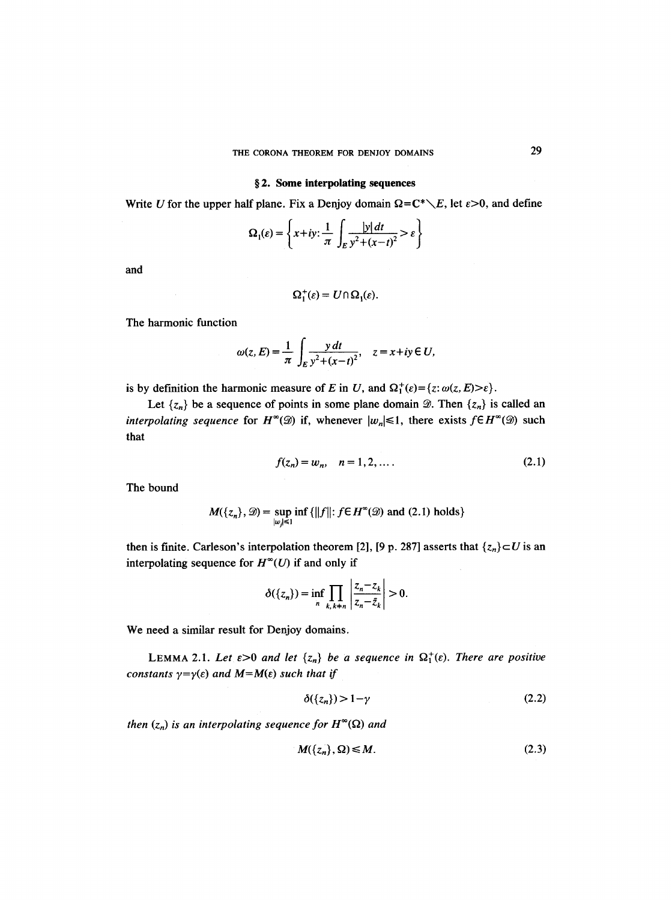### **w 2. Some interpolating sequences**

Write U for the upper half plane. Fix a Denjoy domain  $\Omega = C^* \setminus E$ , let  $\varepsilon > 0$ , and define

$$
\Omega_1(\varepsilon) = \left\{ x + iy : \frac{1}{\pi} \int_E \frac{|y| \, dt}{y^2 + (x - t)^2} > \varepsilon \right\}
$$

and

$$
\Omega_1^+(\varepsilon) = U \cap \Omega_1(\varepsilon).
$$

The harmonic function

$$
\omega(z, E) = \frac{1}{\pi} \int_{E} \frac{y \, dt}{y^2 + (x - t)^2}, \quad z = x + iy \in U,
$$

is by definition the harmonic measure of E in U, and  $\Omega_1^+(\varepsilon) = \{z: \omega(z, E) > \varepsilon\}.$ 

Let  $\{z_n\}$  be a sequence of points in some plane domain  $\mathcal{D}$ . Then  $\{z_n\}$  is called an *interpolating sequence* for  $H^{\infty}(\mathcal{D})$  if, whenever  $|w_n| \leq 1$ , there exists  $f \in H^{\infty}(\mathcal{D})$  such that

$$
f(z_n) = w_n, \quad n = 1, 2, \dots.
$$
 (2.1)

The bound

$$
M({z_n}, \mathcal{D}) = \sup_{|w_j| \le 1} \inf \{ ||f|| : f \in H^{\infty}(\mathcal{D}) \text{ and } (2.1) \text{ holds} \}
$$

then is finite. Carleson's interpolation theorem [2], [9 p. 287] asserts that  $\{z_n\} \subset U$  is an interpolating sequence for  $H^{\infty}(U)$  if and only if

$$
\delta(\lbrace z_n \rbrace) = \inf_n \prod_{k, k \neq n} \left| \frac{z_n - z_k}{z_n - \bar{z}_k} \right| > 0.
$$

We need a similar result for Denjoy domains.

LEMMA 2.1. Let  $\varepsilon > 0$  and let  $\{z_n\}$  be a sequence in  $\Omega_1^+(\varepsilon)$ . There are positive *constants*  $\gamma = \gamma(\varepsilon)$  *and*  $M = M(\varepsilon)$  *such that if* 

$$
\delta(\{z_n\}) > 1 - \gamma \tag{2.2}
$$

*then*  $(z_n)$  *is an interpolating sequence for*  $H^{\infty}(\Omega)$  *and* 

$$
M(\{z_n\}, \Omega) \le M. \tag{2.3}
$$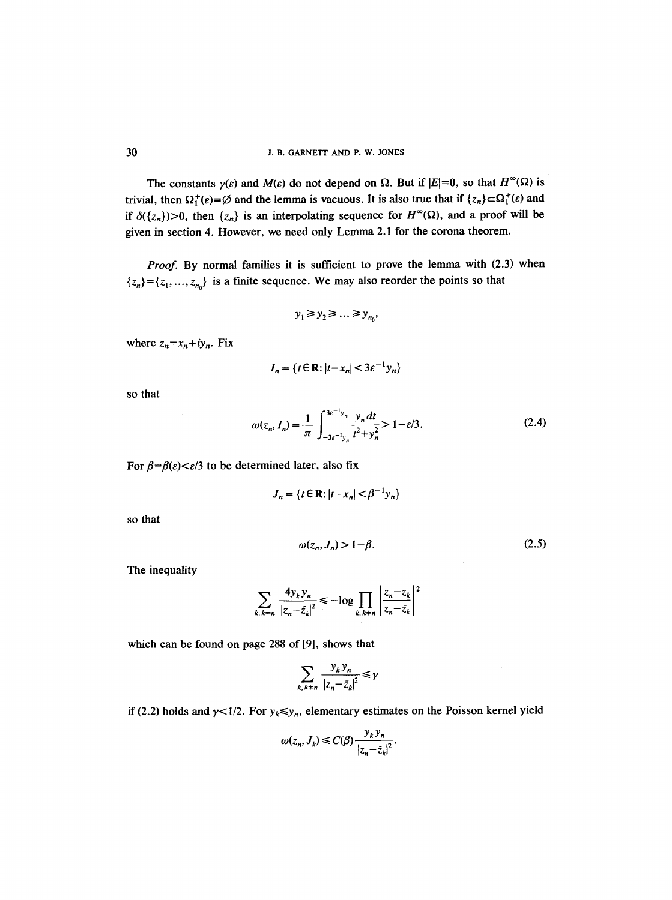The constants  $\gamma(\varepsilon)$  and  $M(\varepsilon)$  do not depend on  $\Omega$ . But if  $|E|=0$ , so that  $H^{\infty}(\Omega)$  is trivial, then  $\Omega_1^+(\varepsilon) = \emptyset$  and the lemma is vacuous. It is also true that if  $\{z_n\} \subset \Omega_1^+(\varepsilon)$  and if  $\delta({z_n})>0$ , then  ${z_n}$  is an interpolating sequence for  $H^{\infty}(\Omega)$ , and a proof will be given in section 4. However, we need only Lemma 2.1 for the corona theorem.

*Proof.* By normal families it is sufficient to prove the lemma with (2.3) when  ${z_n} = {z_1, ..., z_{n_0}}$  is a finite sequence. We may also reorder the points so that

$$
y_1 \ge y_2 \ge \dots \ge y_{n_0},
$$

where  $z_n = x_n + iy_n$ . Fix

$$
I_n = \{t \in \mathbf{R} : |t - x_n| < 3\varepsilon^{-1} y_n\}
$$

so that

$$
\omega(z_n, I_n) = \frac{1}{\pi} \int_{-3\varepsilon^{-1}y_n}^{3\varepsilon^{-1}y_n} \frac{y_n \, dt}{t^2 + y_n^2} > 1 - \varepsilon/3. \tag{2.4}
$$

For  $\beta = \beta(\varepsilon) < \varepsilon/3$  to be determined later, also fix

$$
J_n = \{ t \in \mathbb{R} : |t - x_n| < \beta^{-1} y_n \}
$$

**so that** 

$$
\omega(z_n, J_n) > 1 - \beta. \tag{2.5}
$$

The inequality

$$
\sum_{k,k+n} \frac{4y_k y_n}{|z_n - \bar{z}_k|^2} \le -\log \prod_{k,k+n} \left| \frac{z_n - z_k}{z_n - \bar{z}_k} \right|^2
$$

which can be found on page 288 of [9], shows that

$$
\sum_{k, k \neq n} \frac{y_k y_n}{|z_n - \bar{z}_k|^2} \le \gamma
$$

if (2.2) holds and  $\gamma$ <1/2. For  $y_k \le y_n$ , elementary estimates on the Poisson kernel yield

$$
\omega(z_n, J_k) \le C(\beta) \frac{y_k y_n}{|z_n - \bar{z}_k|^2}.
$$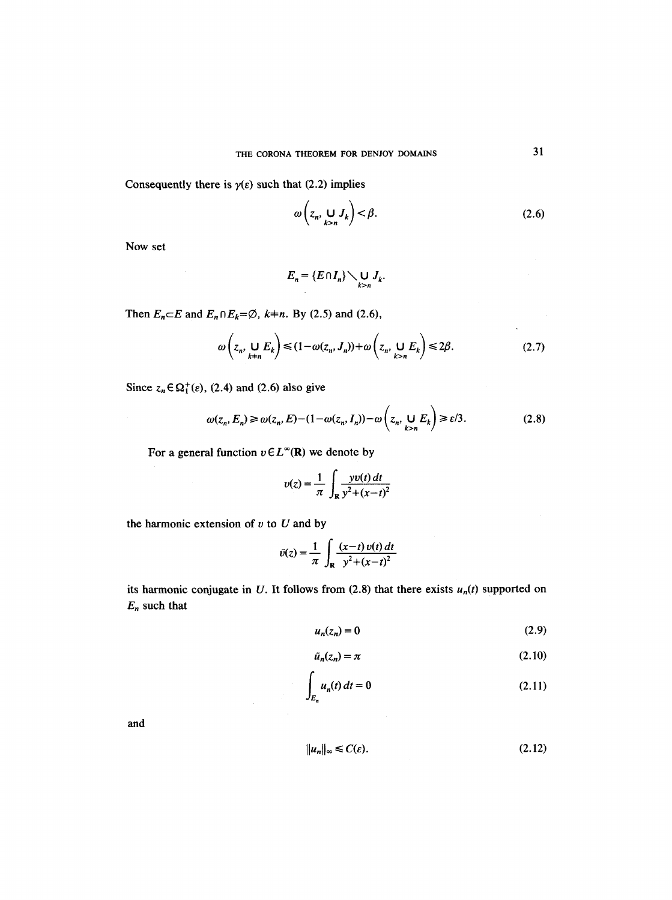Consequently there is  $\gamma(\varepsilon)$  such that (2.2) implies

$$
\omega\left(z_n, \bigcup_{k>n} J_k\right) < \beta. \tag{2.6}
$$

Now set

$$
E_n = \{E \cap I_n\} \setminus \bigcup_{k>n} J_k.
$$

Then  $E_n \subset E$  and  $E_n \cap E_k = \emptyset$ ,  $k=n$ . By (2.5) and (2.6),

$$
\omega\left(z_n, \bigcup_{k+n} E_k\right) \le (1 - \omega(z_n, J_n)) + \omega\left(z_n, \bigcup_{k>n} E_k\right) \le 2\beta. \tag{2.7}
$$

Since  $z_n \in \Omega_1^+(\varepsilon)$ , (2.4) and (2.6) also give

$$
\omega(z_n, E_n) \ge \omega(z_n, E) - (1 - \omega(z_n, I_n)) - \omega\left(z_n, \bigcup_{k > n} E_k\right) \ge \varepsilon/3. \tag{2.8}
$$

For a general function  $v \in L^{\infty}(\mathbb{R})$  we denote by

 $\mathcal{A}^{\text{out}}$ 

$$
v(z) = \frac{1}{\pi} \int_{\mathbf{R}} \frac{yv(t) dt}{y^2 + (x - t)^2}
$$

the harmonic extension of  $v$  to  $U$  and by

$$
\tilde{v}(z) = \frac{1}{\pi} \int_{\mathbf{R}} \frac{(x-t) v(t) dt}{y^2 + (x-t)^2}
$$

its harmonic conjugate in U. It follows from  $(2.8)$  that there exists  $u_n(t)$  supported on *En* such that

$$
u_n(z_n) = 0 \tag{2.9}
$$

$$
\tilde{u}_n(z_n) = \pi \tag{2.10}
$$

$$
\int_{E_n} u_n(t) dt = 0
$$
\n(2.11)

**and** 

$$
||u_n||_{\infty} \leq C(\varepsilon). \tag{2.12}
$$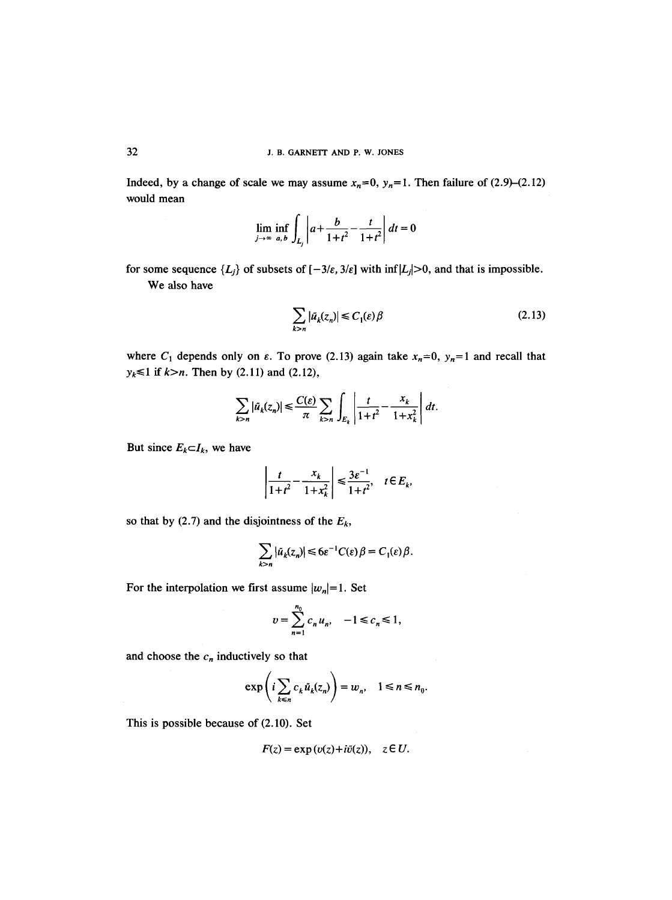Indeed, by a change of scale we may assume  $x_n=0$ ,  $y_n=1$ . Then failure of (2.9)–(2.12) would mean

$$
\lim_{j \to \infty} \inf_{a, b} \int_{L_j} \left| a + \frac{b}{1 + t^2} - \frac{t}{1 + t^2} \right| dt = 0
$$

for some sequence  $\{L_j\}$  of subsets of  $[-3/\varepsilon, 3/\varepsilon]$  with inf $|L_j|>0$ , and that is impossible. We also have

$$
\sum_{k>n} |\tilde{u}_k(z_n)| \le C_1(\varepsilon)\beta
$$
\n(2.13)

where  $C_1$  depends only on  $\varepsilon$ . To prove (2.13) again take  $x_n=0$ ,  $y_n=1$  and recall that  $y_k \le 1$  if  $k>n$ . Then by (2.11) and (2.12),

$$
\sum_{k>n} |\tilde{u}_k(z_n)| \leq \frac{C(\varepsilon)}{\pi} \sum_{k>n} \int_{E_k} \left| \frac{t}{1+t^2} - \frac{x_k}{1+x_k^2} \right| dt.
$$

But since  $E_k \subset I_k$ , we have

$$
\left|\frac{t}{1+t^2} - \frac{x_k}{1+x_k^2}\right| \leq \frac{3\varepsilon^{-1}}{1+t^2}, \quad t \in E_k,
$$

so that by (2.7) and the disjointness of the  $E_k$ ,

$$
\sum_{k>n} |\tilde{u}_k(z_n)| \leq 6\varepsilon^{-1} C(\varepsilon) \beta = C_1(\varepsilon) \beta.
$$

For the interpolation we first assume  $|w_n|=1$ . Set

$$
v = \sum_{n=1}^{n_0} c_n u_n, \quad -1 \leq c_n \leq 1,
$$

and choose the  $c_n$  inductively so that

$$
\exp\left(i\sum_{k\leq n}c_k\tilde{u}_k(z_n)\right)=w_n, \quad 1\leq n\leq n_0.
$$

This is possible because of (2.10). Set

$$
F(z) = \exp(v(z) + i\tilde{v}(z)), \quad z \in U.
$$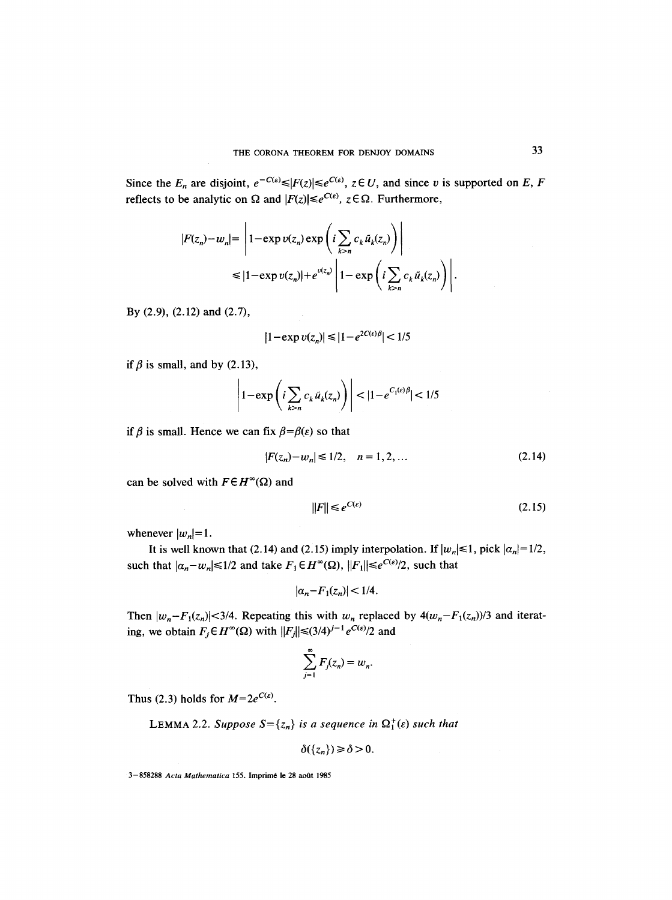Since the  $E_n$  are disjoint,  $e^{-C(\varepsilon)} \leq |F(z)| \leq e^{C(\varepsilon)}$ ,  $z \in U$ , and since v is supported on E, F reflects to be analytic on  $\Omega$  and  $|F(z)| \leq e^{C(\varepsilon)}$ ,  $z \in \Omega$ . Furthermore,

$$
|F(z_n) - w_n| = \left| 1 - \exp v(z_n) \exp \left( i \sum_{k>n} c_k \tilde{u}_k(z_n) \right) \right|
$$
  

$$
\leq |1 - \exp v(z_n)| + e^{v(z_n)} \left| 1 - \exp \left( i \sum_{k>n} c_k \tilde{u}_k(z_n) \right) \right|.
$$

By (2.9), (2.12) and (2.7),

$$
|1 - \exp v(z_n)| \le |1 - e^{2C(\epsilon)\beta}| < 1/5
$$

if  $\beta$  is small, and by (2.13),

$$
\left|1 - \exp\left(i \sum_{k>n} c_k \tilde{u}_k(z_n)\right)\right| < |1 - e^{C_1(\varepsilon)\beta}| < 1/5
$$

if  $\beta$  is small. Hence we can fix  $\beta = \beta(\epsilon)$  so that

$$
|F(z_n) - w_n| \le 1/2, \quad n = 1, 2, \dots
$$
 (2.14)

can be solved with  $F \in H^{\infty}(\Omega)$  and

$$
||F|| \le e^{C(\varepsilon)} \tag{2.15}
$$

whenever  $|w_n|=1$ .

It is well known that (2.14) and (2.15) imply interpolation. If  $|w_n| \le 1$ , pick  $|\alpha_n| = 1/2$ , such that  $|\alpha_n-w_n| \leq 1/2$  and take  $F_1 \in H^{\infty}(\Omega)$ ,  $||F_1|| \leq e^{C(\varepsilon)/2}$ , such that

$$
|\alpha_n-F_1(z_n)|<1/4.
$$

Then  $|w_n-F_1(z_n)|<3/4$ . Repeating this with  $w_n$  replaced by  $4(w_n-F_1(z_n))/3$  and iterating, we obtain  $F_j \in H^{\infty}(\Omega)$  with  $||F_j|| \leq (3/4)^{j-1} e^{C(\varepsilon)/2}$  and

$$
\sum_{j=1}^{\infty} F_j(z_n) = w_n.
$$

Thus (2.3) holds for  $M=2e^{C(\varepsilon)}$ .

LEMMA 2.2. *Suppose*  $S = \{z_n\}$  is a sequence in  $\Omega_1^+(\varepsilon)$  such that

$$
\delta(\{z_n\})\geq \delta>0.
$$

3-858288 *Acta Mathematica* 155. Imprim6 le 28 ao0t 1985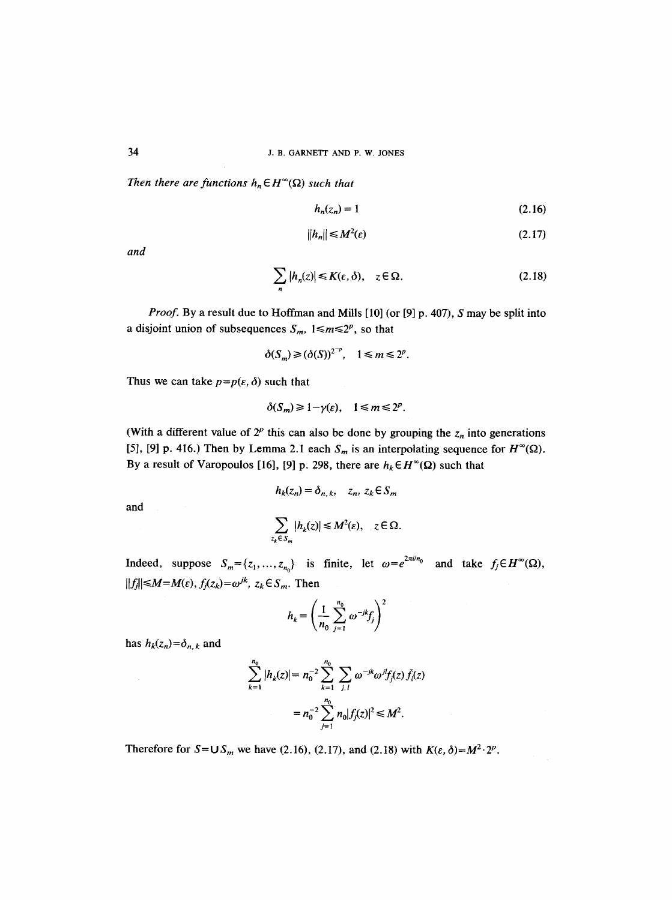*Then there are functions*  $h_n \in H^{\infty}(\Omega)$  *such that* 

$$
h_n(z_n) = 1 \tag{2.16}
$$

$$
||h_n|| \le M^2(\varepsilon) \tag{2.17}
$$

*and* 

$$
\sum_{n} |h_n(z)| \le K(\varepsilon, \delta), \quad z \in \Omega.
$$
 (2.18)

*Proof.* By a result due to Hoffman and Mills [10] (or [9] p. 407), S may be split into a disjoint union of subsequences  $S_m$ ,  $1 \le m \le 2^p$ , so that

$$
\delta(S_m) \ge (\delta(S))^{2^{-p}}, \quad 1 \le m \le 2^p.
$$

Thus we can take  $p=p(\varepsilon,\delta)$  such that

$$
\delta(S_m) \geq 1 - \gamma(\varepsilon), \quad 1 \leq m \leq 2^p.
$$

(With a different value of  $2^p$  this can also be done by grouping the  $z_n$  into generations [5], [9] p. 416.) Then by Lemma 2.1 each  $S_m$  is an interpolating sequence for  $H^{\infty}(\Omega)$ . By a result of Varopoulos [16], [9] p. 298, there are  $h_k \in H^{\infty}(\Omega)$  such that

$$
h_k(z_n) = \delta_{n,k}, \quad z_n, z_k \in S_m
$$
  

$$
\sum_{z_k \in S_m} |h_k(z)| \le M^2(\varepsilon), \quad z \in \Omega.
$$

and

Indeed, suppose 
$$
S_m = \{z_1, ..., z_{n_0}\}
$$
 is finite, let  $\omega = e^{2\pi i/n_0}$  and take  $f_j \in H^{\infty}(\Omega)$ ,  
 $||f_j|| \le M = M(\varepsilon)$ ,  $f_j(z_k) = \omega^{jk}$ ,  $z_k \in S_m$ . Then

$$
h_k = \left(\frac{1}{n_0} \sum_{j=1}^{n_0} \omega^{-jk} f_j\right)^2
$$

has  $h_k(z_n)=\delta_{n,k}$  and

$$
\sum_{k=1}^{n_0} |h_k(z)| = n_0^{-2} \sum_{k=1}^{n_0} \sum_{j,l} \omega^{-jk} \omega^{jl} f_j(z) f_l(z)
$$
  
=  $n_0^{-2} \sum_{j=1}^{n_0} n_0 |f_j(z)|^2 \le M^2$ .

Therefore for  $S=US_m$  we have (2.16), (2.17), and (2.18) with  $K(\varepsilon, \delta)=M^2 \cdot 2^p$ .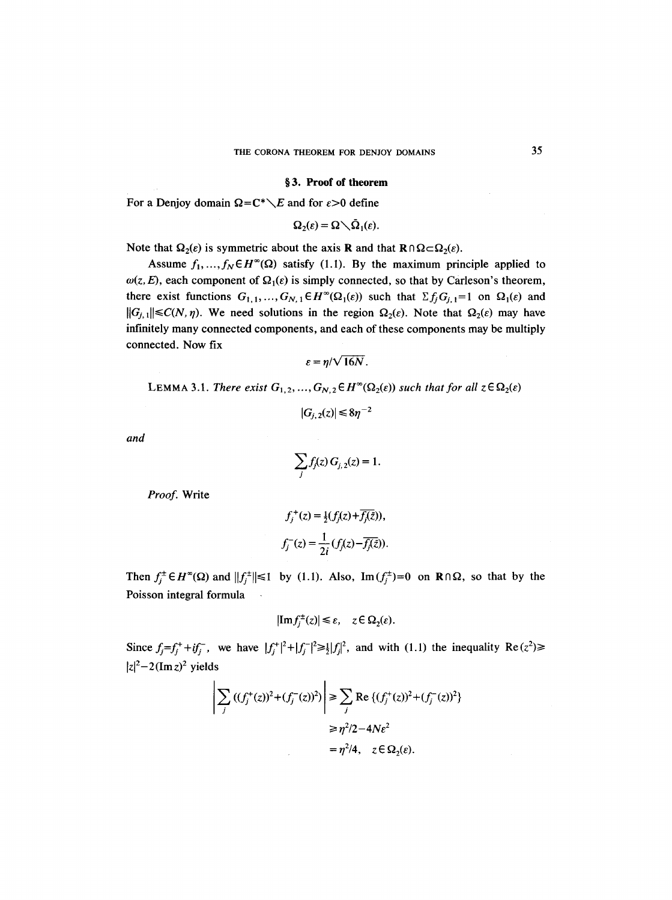#### **w 3. Proof of theorem**

For a Denjoy domain  $\Omega = C^* \setminus E$  and for  $\varepsilon > 0$  define

$$
\Omega_2(\varepsilon) = \Omega \setminus \bar{\Omega}_1(\varepsilon).
$$

Note that  $\Omega_2(\varepsilon)$  is symmetric about the axis **R** and that  $\mathbf{R} \cap \Omega \subset \Omega_2(\varepsilon)$ .

Assume  $f_1, ..., f_N \in H^{\infty}(\Omega)$  satisfy (1.1). By the maximum principle applied to  $\omega(z, E)$ , each component of  $\Omega_1(\varepsilon)$  is simply connected, so that by Carleson's theorem, there exist functions  $G_{1,1},..., G_{N,1} \in H^{\infty}(\Omega_1(\varepsilon))$  such that  $\Sigma f_j G_{j,1}=1$  on  $\Omega_1(\varepsilon)$  and  $||G_{j,1}|| \leq C(N, \eta)$ . We need solutions in the region  $\Omega_2(\varepsilon)$ . Note that  $\Omega_2(\varepsilon)$  may have infinitely many connected components, and each of these components may be multiply connected. Now fix

$$
\varepsilon = \eta/\sqrt{16N}.
$$

LEMMA 3.1. *There exist*  $G_{1,2},...,G_{N,2} \in H^{\infty}(\Omega_2(\varepsilon))$  *such that for all*  $z \in \Omega_2(\varepsilon)$ 

$$
|G_{j,2}(z)| \leq 8\eta^{-2}
$$

*and* 

$$
\sum_j f_j(z) G_{j,2}(z) = 1.
$$

*Proof.* Write

$$
f_j^+(z) = \frac{1}{2}(f_j(z) + \overline{f_j(\bar{z})}),
$$
  

$$
f_j^-(z) = \frac{1}{2i}(f_j(z) - \overline{f_j(\bar{z})}).
$$

Then  $f_i^{\perp} \in H^{\infty}(\Omega)$  and  $||f_i^{\perp}|| \le 1$  by (1.1). Also,  $\text{Im}(f_i^{\perp})=0$  on  $\mathbb{R} \cap \Omega$ , so that by the Poisson integral formula  $\mathbb{R}^2$ 

$$
|\mathrm{Im} f_j^{\pm}(z)| \leq \varepsilon, \quad z \in \Omega_2(\varepsilon).
$$

Since  $f_j = f_j^+ + if_j^-$ , we have  $|f_j^+|^2 + |f_j^-|^2 \ge \frac{1}{2} |f_j|^2$ , and with (1.1) the inequality Re( $z^2$ )  $|z|^2-2(\text{Im } z)^2$  yields

$$
\left| \sum_{j} ((f_{j}^{+}(z))^{2} + (f_{j}^{-}(z))^{2}) \right| \geq \sum_{j} \text{Re}\{(f_{j}^{+}(z))^{2} + (f_{j}^{-}(z))^{2}\}\n\n\geq \eta^{2}/2 - 4Ne^{2}\n\n= \eta^{2}/4, \quad z \in \Omega_{2}(\varepsilon).
$$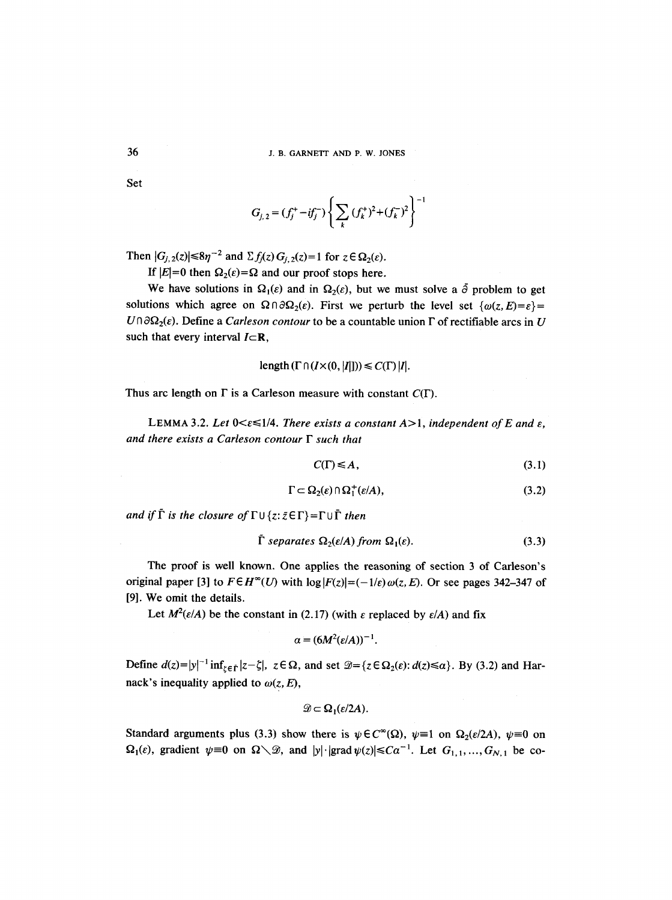Set

$$
G_{j,2} = (f_j^+ - if_j^-) \left\{ \sum_k (f_k^+)^2 + (f_k^-)^2 \right\}^{-1}
$$

Then  $|G_{i,2}(z)| \leq 8\eta^{-2}$  and  $\sum f_i(z) G_{i,2}(z) = 1$  for  $z \in \Omega_2(\varepsilon)$ .

If  $|E|=0$  then  $\Omega_2(\varepsilon)=\Omega$  and our proof stops here.

We have solutions in  $\Omega_1(\varepsilon)$  and in  $\Omega_2(\varepsilon)$ , but we must solve a  $\tilde{\partial}$  problem to get solutions which agree on  $\Omega \cap \partial \Omega_2(\varepsilon)$ . First we perturb the level set  $\{\omega(z,E)=\varepsilon\}$ =  $U \cap \partial \Omega_2(\varepsilon)$ . Define a *Carleson contour* to be a countable union  $\Gamma$  of rectifiable arcs in U such that every interval  $I \subset \mathbb{R}$ ,

length 
$$
(\Gamma \cap (I \times (0, |I|))) \leq C(\Gamma) |I|
$$
.

Thus arc length on  $\Gamma$  is a Carleson measure with constant  $C(\Gamma)$ .

LEMMA 3.2. Let  $0 \le \epsilon \le 1/4$ . There exists a constant  $A > 1$ , independent of E and  $\epsilon$ , *and there exists a Carleson contour F such that* 

$$
C(\Gamma) \leq A,\tag{3.1}
$$

$$
\Gamma \subset \Omega_2(\varepsilon) \cap \Omega_1^+(\varepsilon/A),\tag{3.2}
$$

*and if*  $\tilde{\Gamma}$  *is the closure of*  $\Gamma \cup \{z : \bar{z} \in \Gamma\} = \Gamma \cup \overline{\Gamma}$  *then* 

$$
\tilde{\Gamma} \text{ separates } \Omega_2(\varepsilon/A) \text{ from } \Omega_1(\varepsilon). \tag{3.3}
$$

The proof is well known. One applies the reasoning of section 3 of Carleson's original paper [3] to  $F \in H^{\infty}(U)$  with  $\log |F(z)| = (-1/\varepsilon) \omega(z, E)$ . Or see pages 342-347 of [9]. We omit the details.

Let  $M^2(\varepsilon/A)$  be the constant in (2.17) (with  $\varepsilon$  replaced by  $\varepsilon/A$ ) and fix

$$
\alpha = (6M^2(\varepsilon/A))^{-1}.
$$

Define  $d(z)=|y|^{-1} \inf_{\zeta \in \hat{\Gamma}} |z-\zeta|$ ,  $z \in \Omega$ , and set  $\mathcal{D} = {\zeta \in \Omega_2(\varepsilon) : d(z) \le \alpha}$ . By (3.2) and Harnack's inequality applied to  $\omega(z, E)$ ,

$$
\mathcal{D} \subset \Omega_1(\varepsilon/2A).
$$

Standard arguments plus (3.3) show there is  $\psi \in C^{\infty}(\Omega)$ ,  $\psi = 1$  on  $\Omega_2(\varepsilon/2A)$ ,  $\psi = 0$  on  $\Omega_1(\varepsilon)$ , gradient  $\psi=0$  on  $\Omega\setminus\mathcal{D}$ , and  $|y|\cdot|$ grad  $\psi(z)|\leq C\alpha^{-1}$ . Let  $G_{1,1},..., G_{N,1}$  be co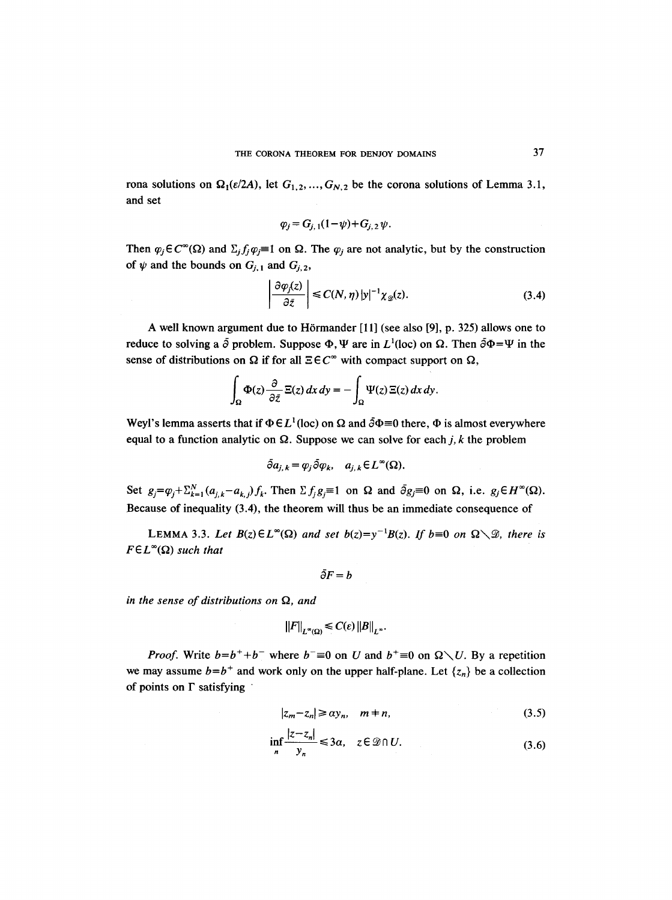rona solutions on  $\Omega_1(\varepsilon/2A)$ , let  $G_{1,2},...,G_{N,2}$  be the corona solutions of Lemma 3.1, and set

$$
\varphi_j = G_{j,1}(1-\psi) + G_{j,2}\psi.
$$

Then  $\varphi_j \in C^{\infty}(\Omega)$  and  $\Sigma_j f_j \varphi_j \equiv 1$  on  $\Omega$ . The  $\varphi_j$  are not analytic, but by the construction of  $\psi$  and the bounds on  $G_{j,1}$  and  $G_{j,2}$ ,

$$
\left| \frac{\partial \varphi_j(z)}{\partial \bar{z}} \right| \le C(N, \eta) |y|^{-1} \chi_{\mathcal{D}}(z). \tag{3.4}
$$

A well known argument due to Hörmander [11] (see also [9], p. 325) allows one to reduce to solving a  $\bar{\partial}$  problem. Suppose  $\Phi$ ,  $\Psi$  are in  $L^1$ (loc) on  $\Omega$ . Then  $\bar{\partial}\Phi=\Psi$  in the sense of distributions on  $\Omega$  if for all  $\Xi \in C^{\infty}$  with compact support on  $\Omega$ ,

$$
\int_{\Omega} \Phi(z) \frac{\partial}{\partial \bar{z}} \Xi(z) dx dy = - \int_{\Omega} \Psi(z) \Xi(z) dx dy.
$$

Weyl's lemma asserts that if  $\Phi \in L^1(\text{loc})$  on  $\Omega$  and  $\overline{\partial} \Phi = 0$  there,  $\Phi$  is almost everywhere equal to a function analytic on  $\Omega$ . Suppose we can solve for each j, k the problem

$$
\tilde{\partial} a_{j,k} = \varphi_j \tilde{\partial} \varphi_k, \quad a_{j,k} \in L^{\infty}(\Omega).
$$

Set  $g_j = \varphi_j + \sum_{k=1}^N (a_{j,k} - a_{k,j}) f_k$ . Then  $\sum f_j g_j \equiv 1$  on  $\Omega$  and  $\bar{\partial} g_j \equiv 0$  on  $\Omega$ , i.e.  $g_j \in H^\infty(\Omega)$ . Because of inequality (3.4), the theorem will thus be an immediate consequence of

LEMMA 3.3. Let  $B(z) \in L^{\infty}(\Omega)$  and set  $b(z)=y^{-1}B(z)$ . If  $b=0$  on  $\Omega \setminus \mathcal{D}$ , there is  $F \in L^{\infty}(\Omega)$  such that

$$
\bar{\partial}F=b
$$

in the sense of distributions on  $\Omega$ , and

$$
||F||_{L^{\infty}(\Omega)} \leq C(\varepsilon) ||B||_{L^{\infty}}.
$$

*Proof.* Write  $b=b^++b^-$  where  $b^-\equiv 0$  on U and  $b^+=0$  on  $\Omega \setminus U$ . By a repetition we may assume  $b=b^+$  and work only on the upper half-plane. Let  $\{z_n\}$  be a collection of points on  $\Gamma$  satisfying

$$
|z_m - z_n| \ge \alpha y_n, \quad m = n,\tag{3.5}
$$

$$
\inf_{n} \frac{|z - z_n|}{y_n} \le 3\alpha, \quad z \in \mathcal{D} \cap U. \tag{3.6}
$$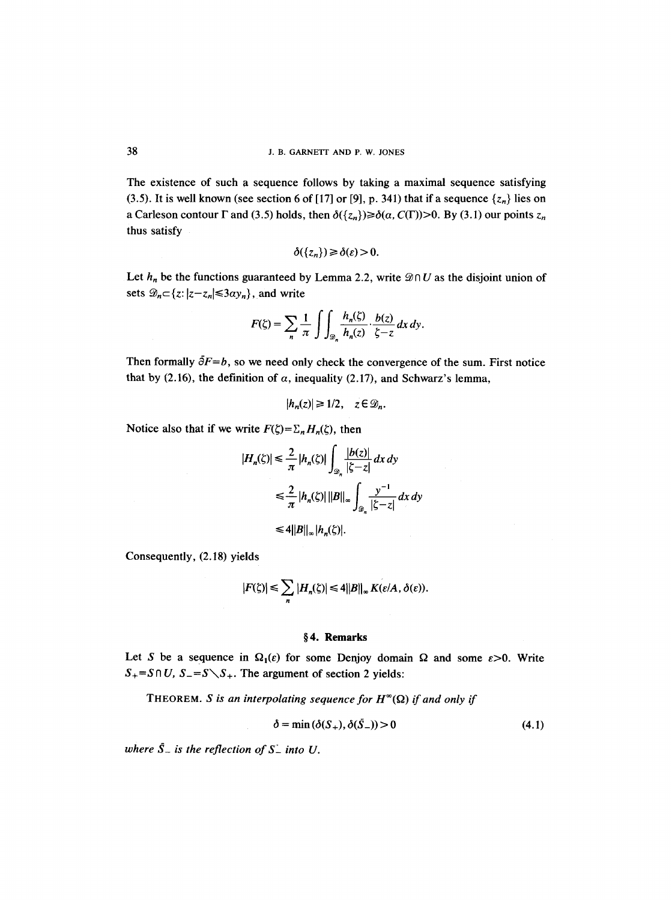The existence of such a sequence follows by taking a maximal sequence satisfying (3.5). It is well known (see section 6 of [17] or [9], p. 341) that if a sequence  $\{z_n\}$  lies on a Carleson contour  $\Gamma$  and (3.5) holds, then  $\delta({z_n}) \geq \delta(a, C(\Gamma)) > 0$ . By (3.1) our points  $z_n$ thus satisfy

$$
\delta({z_n})\geq \delta(\varepsilon)>0.
$$

Let  $h_n$  be the functions guaranteed by Lemma 2.2, write  $\mathcal{D} \cap U$  as the disjoint union of sets  $\mathcal{D}_n \subset \{z: |z-z_n| \leq 3\alpha y_n\}$ , and write

$$
F(\zeta) = \sum_{n} \frac{1}{\pi} \int \int_{\mathcal{D}_n} \frac{h_n(\zeta)}{h_n(z)} \cdot \frac{b(z)}{\zeta - z} \, dx \, dy.
$$

Then formally  $\delta F = b$ , so we need only check the convergence of the sum. First notice that by (2.16), the definition of  $\alpha$ , inequality (2.17), and Schwarz's lemma,

$$
|h_n(z)| \ge 1/2, \quad z \in \mathcal{D}_n.
$$

Notice also that if we write  $F(\zeta) = \sum_n H_n(\zeta)$ , then

$$
|H_n(\xi)| \le \frac{2}{\pi} |h_n(\xi)| \int_{\mathcal{D}_n} \frac{|b(z)|}{|\xi - z|} dx dy
$$
  
\n
$$
\le \frac{2}{\pi} |h_n(\xi)| ||B||_{\infty} \int_{\mathcal{D}_n} \frac{y^{-1}}{|\xi - z|} dx dy
$$
  
\n
$$
\le 4 ||B||_{\infty} |h_n(\xi)|.
$$

Consequently, (2.18) yields

$$
|F(\zeta)| \leq \sum_{n} |H_n(\zeta)| \leq 4||B||_{\infty} K(\varepsilon/A, \delta(\varepsilon)).
$$

# §4. Remarks

Let S be a sequence in  $\Omega_1(\varepsilon)$  for some Denjoy domain  $\Omega$  and some  $\varepsilon > 0$ . Write  $S_{+} = S \cap U$ ,  $S_{-} = S \setminus S_{+}$ . The argument of section 2 yields:

THEOREM. *S* is an interpolating sequence for  $H^{\infty}(\Omega)$  if and only if

$$
\delta = \min (\delta(S_+), \delta(\bar{S}_-)) > 0 \tag{4.1}
$$

where  $\bar{S}_-$  is the reflection of  $S_-$  into U.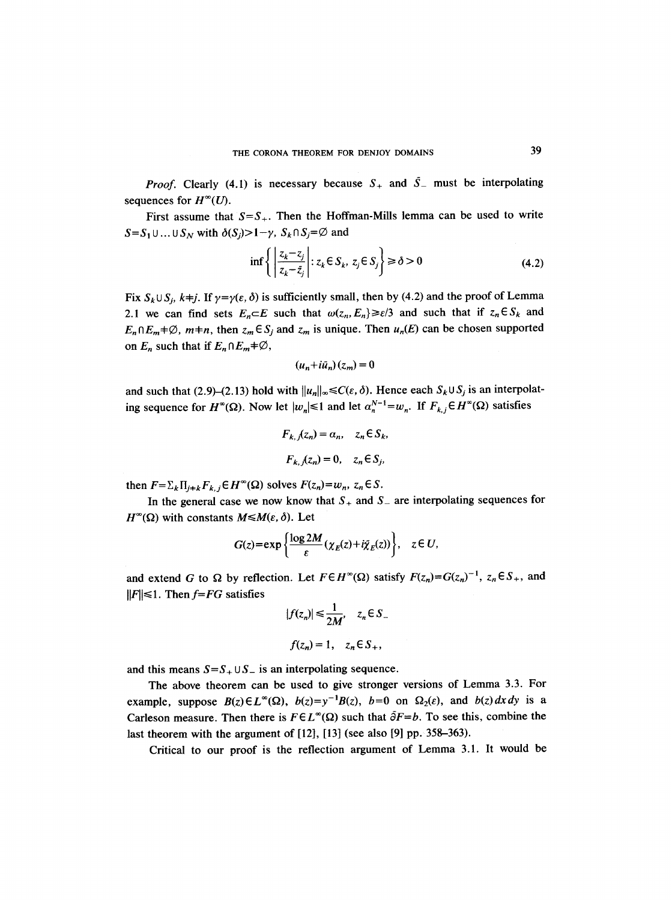*Proof.* Clearly (4.1) is necessary because  $S_+$  and  $\overline{S}_-$  must be interpolating sequences for  $H^{\infty}(U)$ .

First assume that  $S=S_+$ . Then the Hoffman-Mills lemma can be used to write  $S = S_1 \cup ... \cup S_N$  with  $\delta(S_i) > 1 - \gamma$ ,  $S_k \cap S_j = \emptyset$  and

$$
\inf \left\{ \left| \frac{z_k - z_j}{z_k - \bar{z}_j} \right| : z_k \in S_k, \ z_j \in S_j \right\} \ge \delta > 0 \tag{4.2}
$$

Fix  $S_k \cup S_j$ ,  $k \neq j$ . If  $\gamma = \gamma(\varepsilon, \delta)$  is sufficiently small, then by (4.2) and the proof of Lemma 2.1 we can find sets  $E_n \subset E$  such that  $\omega(z_n, E_n) \ge \varepsilon/3$  and such that if  $z_n \in S_k$  and  $E_n \cap E_m \neq \emptyset$ ,  $m+n$ , then  $z_m \in S_j$  and  $z_m$  is unique. Then  $u_n(E)$  can be chosen supported on  $E_n$  such that if  $E_n \cap E_m \neq \emptyset$ ,

$$
(u_n+i\tilde{u}_n)(z_m)=0
$$

and such that (2.9)–(2.13) hold with  $||u_n||_{\infty} \leq C(\varepsilon, \delta)$ . Hence each  $S_k \cup S_j$  is an interpolating sequence for  $H^{\infty}(\Omega)$ . Now let  $|w_n| \le 1$  and let  $\alpha_n^{N-1} = w_n$ . If  $F_{k,j} \in H^{\infty}(\Omega)$  satisfies

$$
F_{k,j}(z_n) = \alpha_n, \quad z_n \in S_k,
$$
  

$$
F_{k,j}(z_n) = 0, \quad z_n \in S_j,
$$

then  $F = \sum_k \prod_{i \neq k} F_{k,i} \in H^{\infty}(\Omega)$  solves  $F(z_n) = w_n$ ,  $z_n \in S$ .

In the general case we now know that  $S_+$  and  $S_-$  are interpolating sequences for  $H^{\infty}(\Omega)$  with constants  $M \leq M(\varepsilon, \delta)$ . Let

$$
G(z) = \exp\left\{\frac{\log 2M}{\varepsilon}(\chi_E(z) + i\tilde{\chi}_E(z))\right\}, \quad z \in U,
$$

and extend G to  $\Omega$  by reflection. Let  $F \in H^{\infty}(\Omega)$  satisfy  $F(z_n) = G(z_n)^{-1}$ ,  $z_n \in S_+$ , and  $||F|| \le 1$ . Then *f=FG* satisfies

$$
|f(z_n)| \le \frac{1}{2M}, \quad z_n \in S_-
$$
  

$$
f(z_n) = 1, \quad z_n \in S_+,
$$

and this means  $S = S_+ \cup S_-$  is an interpolating sequence.

The above theorem can be used to give stronger versions of Lemma 3.3. For example, suppose  $B(z) \in L^{\infty}(\Omega)$ ,  $b(z)=y^{-1}B(z)$ ,  $b=0$  on  $\Omega_2(\varepsilon)$ , and  $b(z) dx dy$  is a Carleson measure. Then there is  $F \in L^{\infty}(\Omega)$  such that  $\tilde{\partial}F=b$ . To see this, combine the last theorem with the argument of [12], [13] (see also [9] pp. 358-363).

Critical to our proof is the reflection argument of Lemma 3.1. It would be